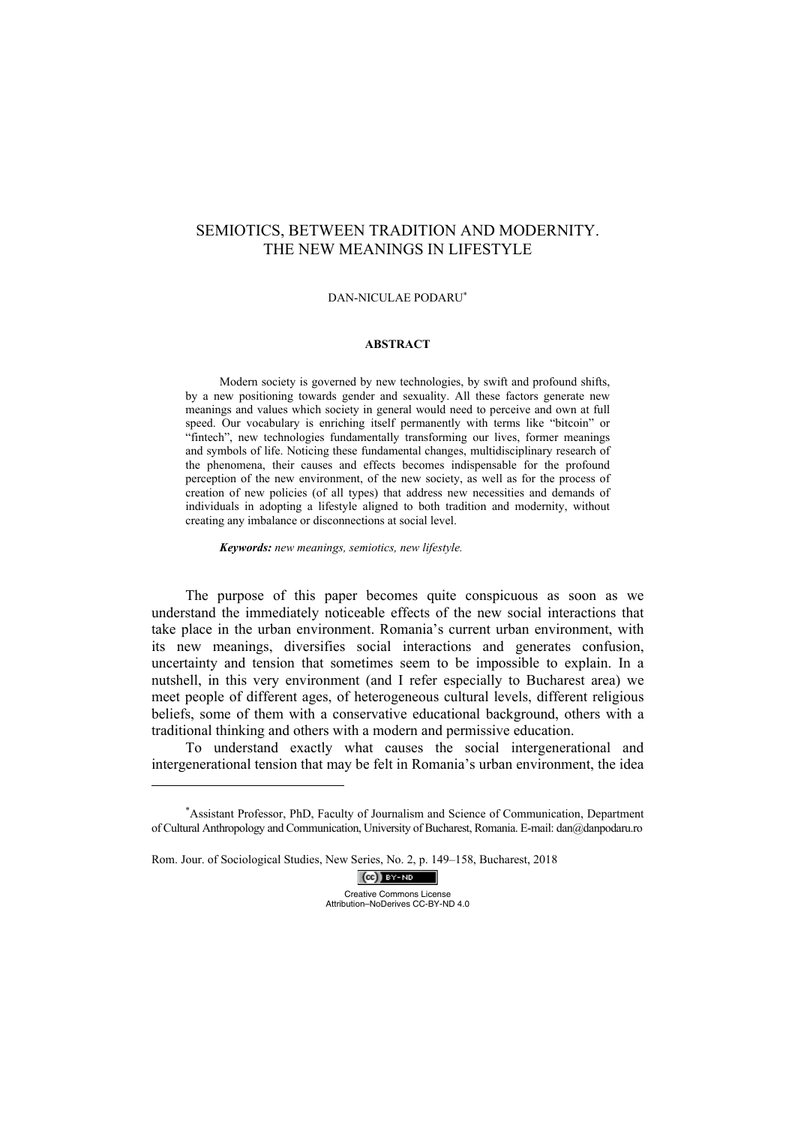# SEMIOTICS, BETWEEN TRADITION AND MODERNITY. THE NEW MEANINGS IN LIFESTYLE

### DAN-NICULAE PODARU<sup>∗</sup>

## **ABSTRACT**

Modern society is governed by new technologies, by swift and profound shifts, by a new positioning towards gender and sexuality. All these factors generate new meanings and values which society in general would need to perceive and own at full speed. Our vocabulary is enriching itself permanently with terms like "bitcoin" or "fintech", new technologies fundamentally transforming our lives, former meanings and symbols of life. Noticing these fundamental changes, multidisciplinary research of the phenomena, their causes and effects becomes indispensable for the profound perception of the new environment, of the new society, as well as for the process of creation of new policies (of all types) that address new necessities and demands of individuals in adopting a lifestyle aligned to both tradition and modernity, without creating any imbalance or disconnections at social level.

*Keywords: new meanings, semiotics, new lifestyle.* 

The purpose of this paper becomes quite conspicuous as soon as we understand the immediately noticeable effects of the new social interactions that take place in the urban environment. Romania's current urban environment, with its new meanings, diversifies social interactions and generates confusion, uncertainty and tension that sometimes seem to be impossible to explain. In a nutshell, in this very environment (and I refer especially to Bucharest area) we meet people of different ages, of heterogeneous cultural levels, different religious beliefs, some of them with a conservative educational background, others with a traditional thinking and others with a modern and permissive education.

To understand exactly what causes the social intergenerational and intergenerational tension that may be felt in Romania's urban environment, the idea

 $(cc)$  BY-ND Creative Commons License Attribution–NoDerives CC-BY-ND 4.0

<sup>∗</sup> Assistant Professor, PhD, Faculty of Journalism and Science of Communication, Department of Cultural Anthropology and Communication, University of Bucharest, Romania. E-mail: dan@danpodaru.ro

Rom. Jour. of Sociological Studies, New Series, No. 2, p. 149–158, Bucharest, 2018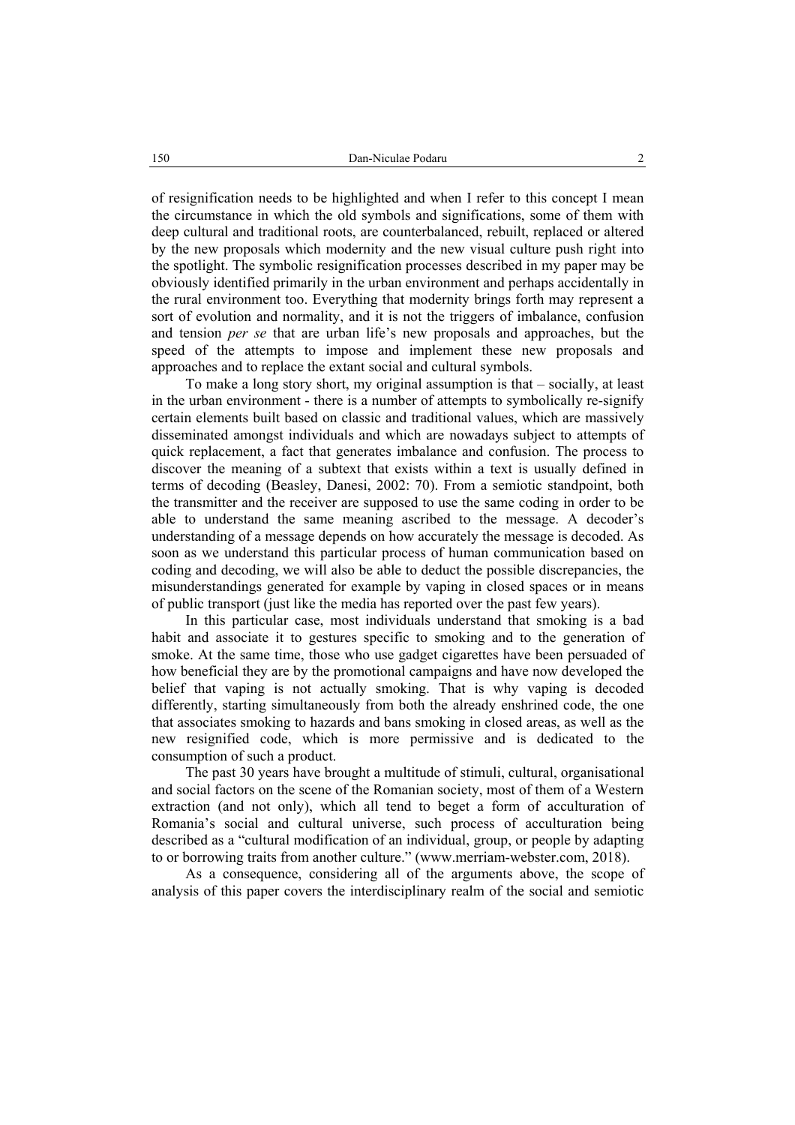of resignification needs to be highlighted and when I refer to this concept I mean the circumstance in which the old symbols and significations, some of them with deep cultural and traditional roots, are counterbalanced, rebuilt, replaced or altered by the new proposals which modernity and the new visual culture push right into the spotlight. The symbolic resignification processes described in my paper may be obviously identified primarily in the urban environment and perhaps accidentally in the rural environment too. Everything that modernity brings forth may represent a sort of evolution and normality, and it is not the triggers of imbalance, confusion and tension *per se* that are urban life's new proposals and approaches, but the speed of the attempts to impose and implement these new proposals and approaches and to replace the extant social and cultural symbols.

To make a long story short, my original assumption is that – socially, at least in the urban environment - there is a number of attempts to symbolically re-signify certain elements built based on classic and traditional values, which are massively disseminated amongst individuals and which are nowadays subject to attempts of quick replacement, a fact that generates imbalance and confusion. The process to discover the meaning of a subtext that exists within a text is usually defined in terms of decoding (Beasley, Danesi, 2002: 70). From a semiotic standpoint, both the transmitter and the receiver are supposed to use the same coding in order to be able to understand the same meaning ascribed to the message. A decoder's understanding of a message depends on how accurately the message is decoded. As soon as we understand this particular process of human communication based on coding and decoding, we will also be able to deduct the possible discrepancies, the misunderstandings generated for example by vaping in closed spaces or in means of public transport (just like the media has reported over the past few years).

In this particular case, most individuals understand that smoking is a bad habit and associate it to gestures specific to smoking and to the generation of smoke. At the same time, those who use gadget cigarettes have been persuaded of how beneficial they are by the promotional campaigns and have now developed the belief that vaping is not actually smoking. That is why vaping is decoded differently, starting simultaneously from both the already enshrined code, the one that associates smoking to hazards and bans smoking in closed areas, as well as the new resignified code, which is more permissive and is dedicated to the consumption of such a product.

The past 30 years have brought a multitude of stimuli, cultural, organisational and social factors on the scene of the Romanian society, most of them of a Western extraction (and not only), which all tend to beget a form of acculturation of Romania's social and cultural universe, such process of acculturation being described as a "cultural modification of an individual, group, or people by adapting to or borrowing traits from another culture." (www.merriam-webster.com, 2018).

As a consequence, considering all of the arguments above, the scope of analysis of this paper covers the interdisciplinary realm of the social and semiotic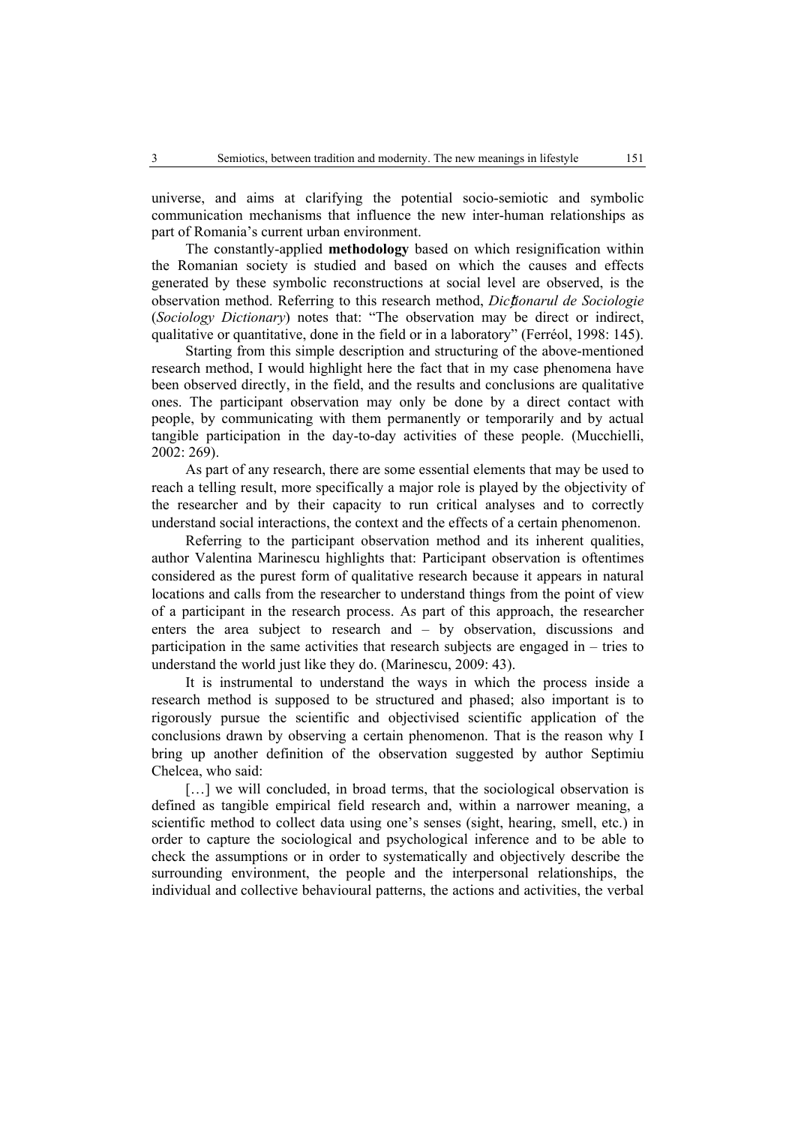universe, and aims at clarifying the potential socio-semiotic and symbolic communication mechanisms that influence the new inter-human relationships as part of Romania's current urban environment.

The constantly-applied **methodology** based on which resignification within the Romanian society is studied and based on which the causes and effects generated by these symbolic reconstructions at social level are observed, is the observation method. Referring to this research method, *Dic*ț*ionarul de Sociologie* (*Sociology Dictionary*) notes that: "The observation may be direct or indirect, qualitative or quantitative, done in the field or in a laboratory" (Ferréol, 1998: 145).

Starting from this simple description and structuring of the above-mentioned research method, I would highlight here the fact that in my case phenomena have been observed directly, in the field, and the results and conclusions are qualitative ones. The participant observation may only be done by a direct contact with people, by communicating with them permanently or temporarily and by actual tangible participation in the day-to-day activities of these people. (Mucchielli, 2002: 269).

As part of any research, there are some essential elements that may be used to reach a telling result, more specifically a major role is played by the objectivity of the researcher and by their capacity to run critical analyses and to correctly understand social interactions, the context and the effects of a certain phenomenon.

Referring to the participant observation method and its inherent qualities, author Valentina Marinescu highlights that: Participant observation is oftentimes considered as the purest form of qualitative research because it appears in natural locations and calls from the researcher to understand things from the point of view of a participant in the research process. As part of this approach, the researcher enters the area subject to research and – by observation, discussions and participation in the same activities that research subjects are engaged in – tries to understand the world just like they do. (Marinescu, 2009: 43).

It is instrumental to understand the ways in which the process inside a research method is supposed to be structured and phased; also important is to rigorously pursue the scientific and objectivised scientific application of the conclusions drawn by observing a certain phenomenon. That is the reason why I bring up another definition of the observation suggested by author Septimiu Chelcea, who said:

[...] we will concluded, in broad terms, that the sociological observation is defined as tangible empirical field research and, within a narrower meaning, a scientific method to collect data using one's senses (sight, hearing, smell, etc.) in order to capture the sociological and psychological inference and to be able to check the assumptions or in order to systematically and objectively describe the surrounding environment, the people and the interpersonal relationships, the individual and collective behavioural patterns, the actions and activities, the verbal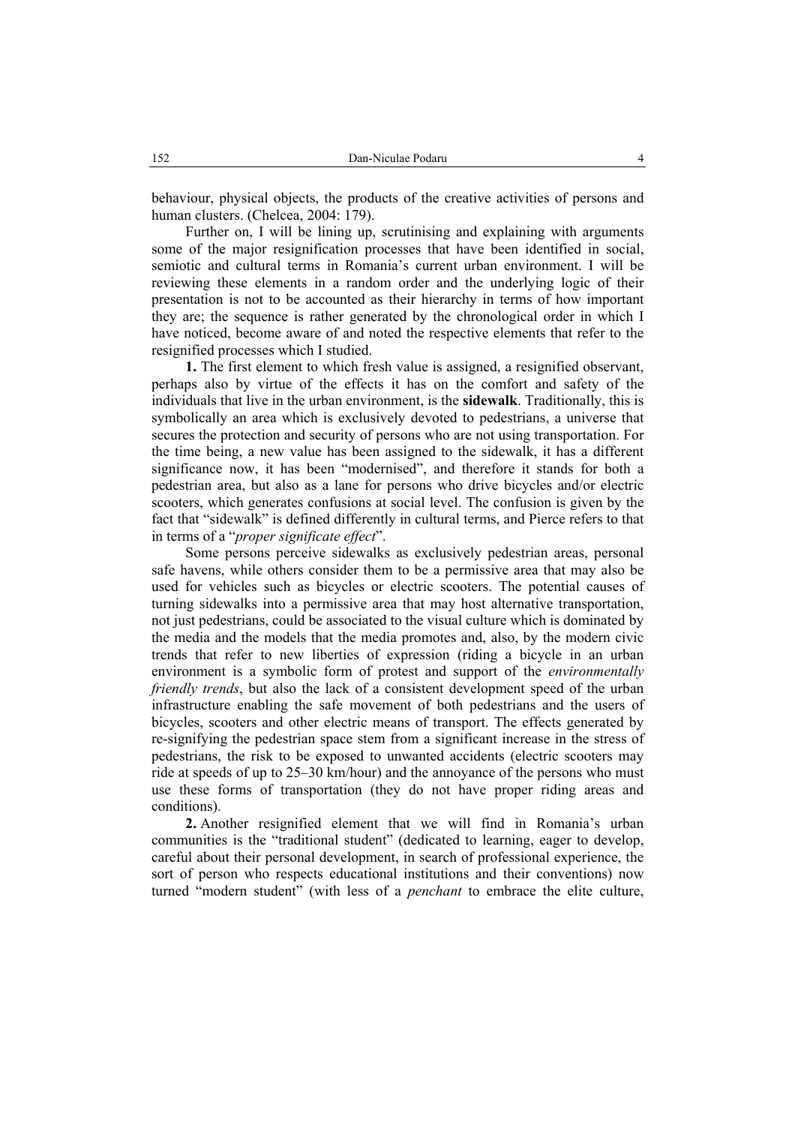behaviour, physical objects, the products of the creative activities of persons and human clusters. (Chelcea, 2004: 179).

Further on, I will be lining up, scrutinising and explaining with arguments some of the major resignification processes that have been identified in social, semiotic and cultural terms in Romania's current urban environment. I will be reviewing these elements in a random order and the underlying logic of their presentation is not to be accounted as their hierarchy in terms of how important they are; the sequence is rather generated by the chronological order in which I have noticed, become aware of and noted the respective elements that refer to the resignified processes which I studied.

**1.** The first element to which fresh value is assigned, a resignified observant, perhaps also by virtue of the effects it has on the comfort and safety of the individuals that live in the urban environment, is the **sidewalk**. Traditionally, this is symbolically an area which is exclusively devoted to pedestrians, a universe that secures the protection and security of persons who are not using transportation. For the time being, a new value has been assigned to the sidewalk, it has a different significance now, it has been "modernised", and therefore it stands for both a pedestrian area, but also as a lane for persons who drive bicycles and/or electric scooters, which generates confusions at social level. The confusion is given by the fact that "sidewalk" is defined differently in cultural terms, and Pierce refers to that in terms of a "*proper significate effect*".

Some persons perceive sidewalks as exclusively pedestrian areas, personal safe havens, while others consider them to be a permissive area that may also be used for vehicles such as bicycles or electric scooters. The potential causes of turning sidewalks into a permissive area that may host alternative transportation, not just pedestrians, could be associated to the visual culture which is dominated by the media and the models that the media promotes and, also, by the modern civic trends that refer to new liberties of expression (riding a bicycle in an urban environment is a symbolic form of protest and support of the *environmentally friendly trends*, but also the lack of a consistent development speed of the urban infrastructure enabling the safe movement of both pedestrians and the users of bicycles, scooters and other electric means of transport. The effects generated by re-signifying the pedestrian space stem from a significant increase in the stress of pedestrians, the risk to be exposed to unwanted accidents (electric scooters may ride at speeds of up to 25–30 km/hour) and the annoyance of the persons who must use these forms of transportation (they do not have proper riding areas and conditions).

**2.** Another resignified element that we will find in Romania's urban communities is the "traditional student" (dedicated to learning, eager to develop, careful about their personal development, in search of professional experience, the sort of person who respects educational institutions and their conventions) now turned "modern student" (with less of a *penchant* to embrace the elite culture,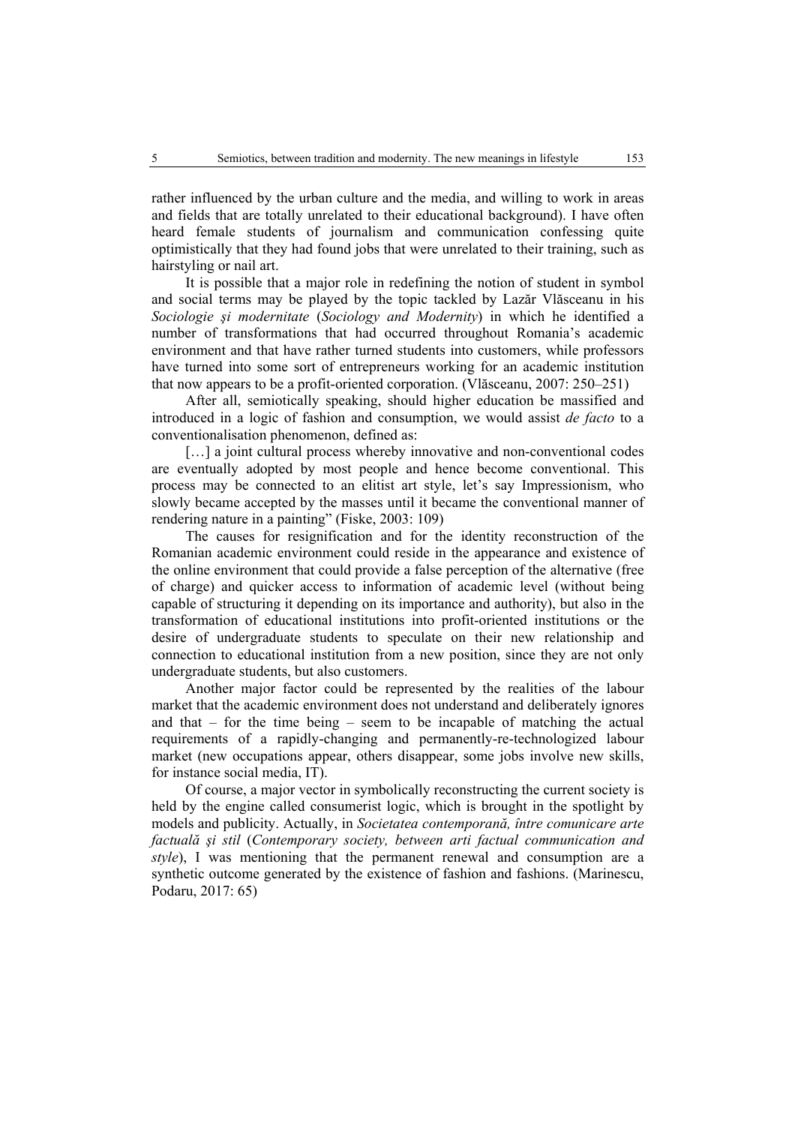rather influenced by the urban culture and the media, and willing to work in areas and fields that are totally unrelated to their educational background). I have often heard female students of journalism and communication confessing quite optimistically that they had found jobs that were unrelated to their training, such as hairstyling or nail art.

It is possible that a major role in redefining the notion of student in symbol and social terms may be played by the topic tackled by Lazăr Vlăsceanu in his *Sociologie şi modernitate* (*Sociology and Modernity*) in which he identified a number of transformations that had occurred throughout Romania's academic environment and that have rather turned students into customers, while professors have turned into some sort of entrepreneurs working for an academic institution that now appears to be a profit-oriented corporation. (Vlăsceanu, 2007: 250–251)

After all, semiotically speaking, should higher education be massified and introduced in a logic of fashion and consumption, we would assist *de facto* to a conventionalisation phenomenon, defined as:

[...] a joint cultural process whereby innovative and non-conventional codes are eventually adopted by most people and hence become conventional. This process may be connected to an elitist art style, let's say Impressionism, who slowly became accepted by the masses until it became the conventional manner of rendering nature in a painting" (Fiske, 2003: 109)

The causes for resignification and for the identity reconstruction of the Romanian academic environment could reside in the appearance and existence of the online environment that could provide a false perception of the alternative (free of charge) and quicker access to information of academic level (without being capable of structuring it depending on its importance and authority), but also in the transformation of educational institutions into profit-oriented institutions or the desire of undergraduate students to speculate on their new relationship and connection to educational institution from a new position, since they are not only undergraduate students, but also customers.

Another major factor could be represented by the realities of the labour market that the academic environment does not understand and deliberately ignores and that – for the time being – seem to be incapable of matching the actual requirements of a rapidly-changing and permanently-re-technologized labour market (new occupations appear, others disappear, some jobs involve new skills, for instance social media, IT).

Of course, a major vector in symbolically reconstructing the current society is held by the engine called consumerist logic, which is brought in the spotlight by models and publicity. Actually, in *Societatea contemporană, între comunicare arte factuală şi stil* (*Contemporary society, between arti factual communication and style*), I was mentioning that the permanent renewal and consumption are a synthetic outcome generated by the existence of fashion and fashions. (Marinescu, Podaru, 2017: 65)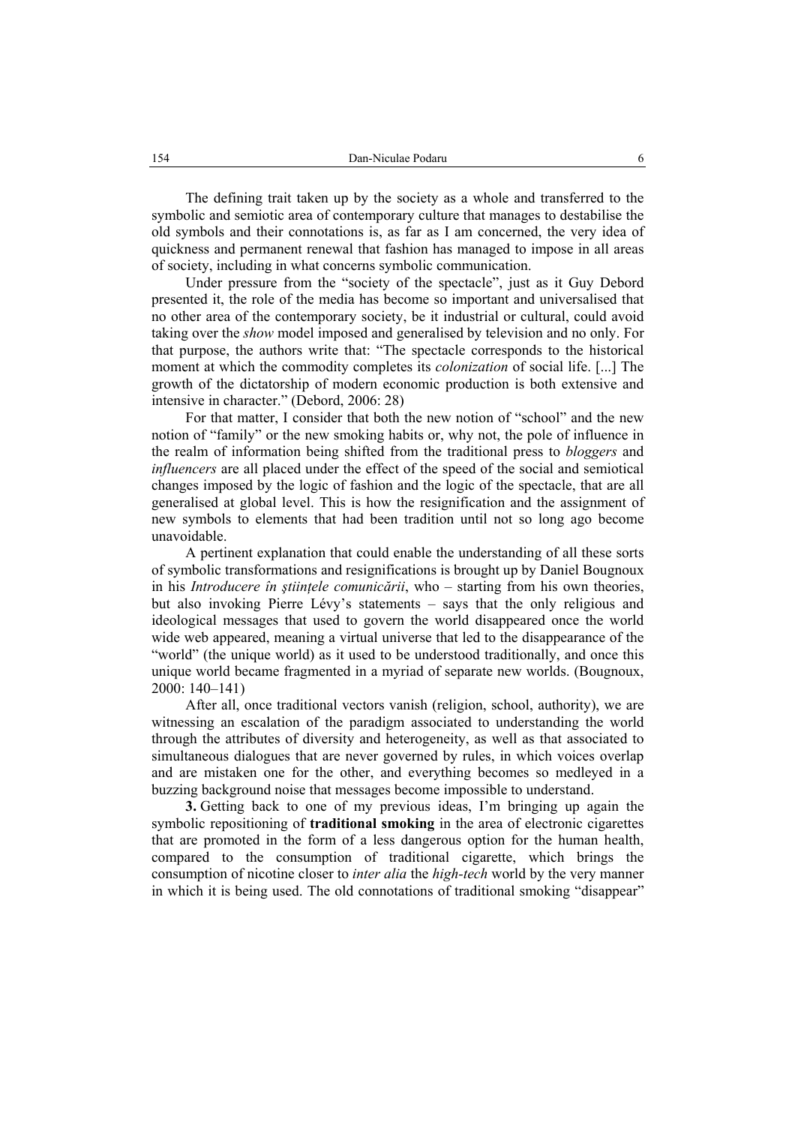The defining trait taken up by the society as a whole and transferred to the symbolic and semiotic area of contemporary culture that manages to destabilise the old symbols and their connotations is, as far as I am concerned, the very idea of quickness and permanent renewal that fashion has managed to impose in all areas of society, including in what concerns symbolic communication.

Under pressure from the "society of the spectacle", just as it Guy Debord presented it, the role of the media has become so important and universalised that no other area of the contemporary society, be it industrial or cultural, could avoid taking over the *show* model imposed and generalised by television and no only. For that purpose, the authors write that: "The spectacle corresponds to the historical moment at which the commodity completes its *colonization* of social life. [...] The growth of the dictatorship of modern economic production is both extensive and intensive in character." (Debord, 2006: 28)

For that matter, I consider that both the new notion of "school" and the new notion of "family" or the new smoking habits or, why not, the pole of influence in the realm of information being shifted from the traditional press to *bloggers* and *influencers* are all placed under the effect of the speed of the social and semiotical changes imposed by the logic of fashion and the logic of the spectacle, that are all generalised at global level. This is how the resignification and the assignment of new symbols to elements that had been tradition until not so long ago become unavoidable.

A pertinent explanation that could enable the understanding of all these sorts of symbolic transformations and resignifications is brought up by Daniel Bougnoux in his *Introducere în ştiinţele comunicării*, who – starting from his own theories, but also invoking Pierre Lévy's statements – says that the only religious and ideological messages that used to govern the world disappeared once the world wide web appeared, meaning a virtual universe that led to the disappearance of the "world" (the unique world) as it used to be understood traditionally, and once this unique world became fragmented in a myriad of separate new worlds. (Bougnoux, 2000: 140–141)

After all, once traditional vectors vanish (religion, school, authority), we are witnessing an escalation of the paradigm associated to understanding the world through the attributes of diversity and heterogeneity, as well as that associated to simultaneous dialogues that are never governed by rules, in which voices overlap and are mistaken one for the other, and everything becomes so medleyed in a buzzing background noise that messages become impossible to understand.

**3.** Getting back to one of my previous ideas, I'm bringing up again the symbolic repositioning of **traditional smoking** in the area of electronic cigarettes that are promoted in the form of a less dangerous option for the human health, compared to the consumption of traditional cigarette, which brings the consumption of nicotine closer to *inter alia* the *high-tech* world by the very manner in which it is being used. The old connotations of traditional smoking "disappear"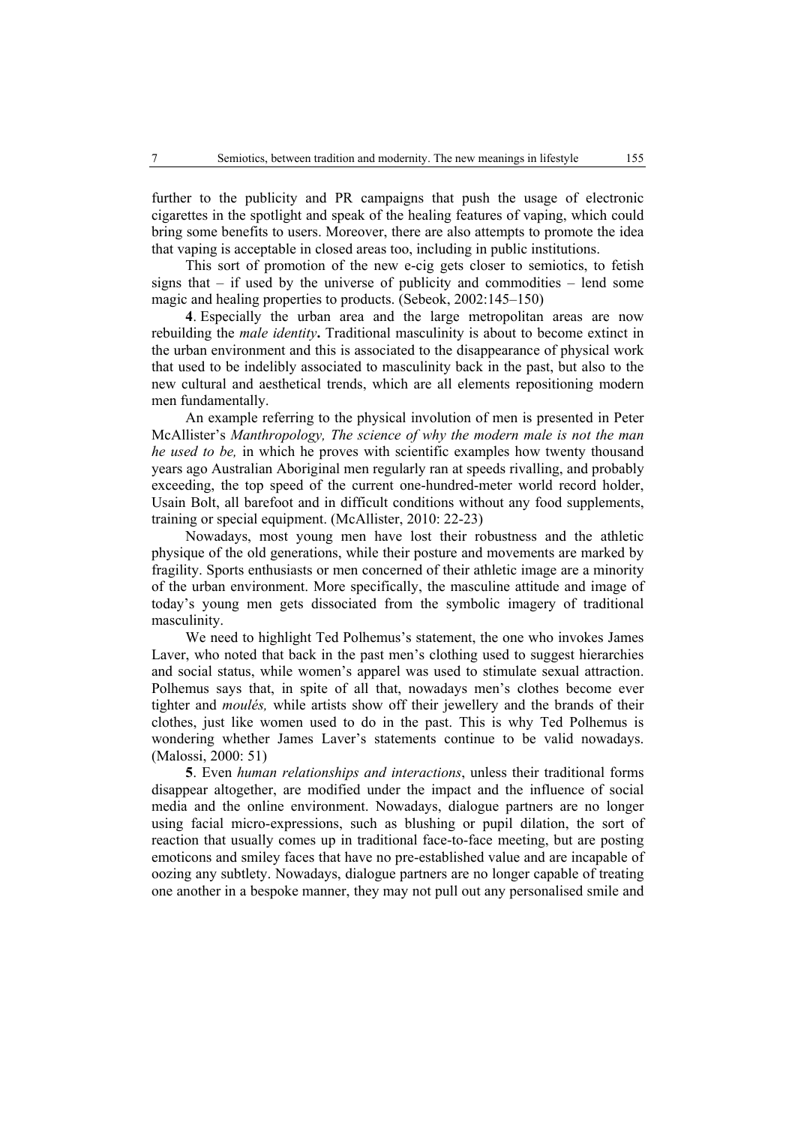further to the publicity and PR campaigns that push the usage of electronic cigarettes in the spotlight and speak of the healing features of vaping, which could bring some benefits to users. Moreover, there are also attempts to promote the idea that vaping is acceptable in closed areas too, including in public institutions.

This sort of promotion of the new e-cig gets closer to semiotics, to fetish signs that – if used by the universe of publicity and commodities – lend some magic and healing properties to products. (Sebeok, 2002:145–150)

**4**. Especially the urban area and the large metropolitan areas are now rebuilding the *male identity***.** Traditional masculinity is about to become extinct in the urban environment and this is associated to the disappearance of physical work that used to be indelibly associated to masculinity back in the past, but also to the new cultural and aesthetical trends, which are all elements repositioning modern men fundamentally.

An example referring to the physical involution of men is presented in Peter McAllister's *Manthropology, The science of why the modern male is not the man he used to be,* in which he proves with scientific examples how twenty thousand years ago Australian Aboriginal men regularly ran at speeds rivalling, and probably exceeding, the top speed of the current one-hundred-meter world record holder, Usain Bolt, all barefoot and in difficult conditions without any food supplements, training or special equipment. (McAllister, 2010: 22-23)

Nowadays, most young men have lost their robustness and the athletic physique of the old generations, while their posture and movements are marked by fragility. Sports enthusiasts or men concerned of their athletic image are a minority of the urban environment. More specifically, the masculine attitude and image of today's young men gets dissociated from the symbolic imagery of traditional masculinity.

We need to highlight Ted Polhemus's statement, the one who invokes James Laver, who noted that back in the past men's clothing used to suggest hierarchies and social status, while women's apparel was used to stimulate sexual attraction. Polhemus says that, in spite of all that, nowadays men's clothes become ever tighter and *moulés,* while artists show off their jewellery and the brands of their clothes, just like women used to do in the past. This is why Ted Polhemus is wondering whether James Laver's statements continue to be valid nowadays. (Malossi, 2000: 51)

**5**. Even *human relationships and interactions*, unless their traditional forms disappear altogether, are modified under the impact and the influence of social media and the online environment. Nowadays, dialogue partners are no longer using facial micro-expressions, such as blushing or pupil dilation, the sort of reaction that usually comes up in traditional face-to-face meeting, but are posting emoticons and smiley faces that have no pre-established value and are incapable of oozing any subtlety. Nowadays, dialogue partners are no longer capable of treating one another in a bespoke manner, they may not pull out any personalised smile and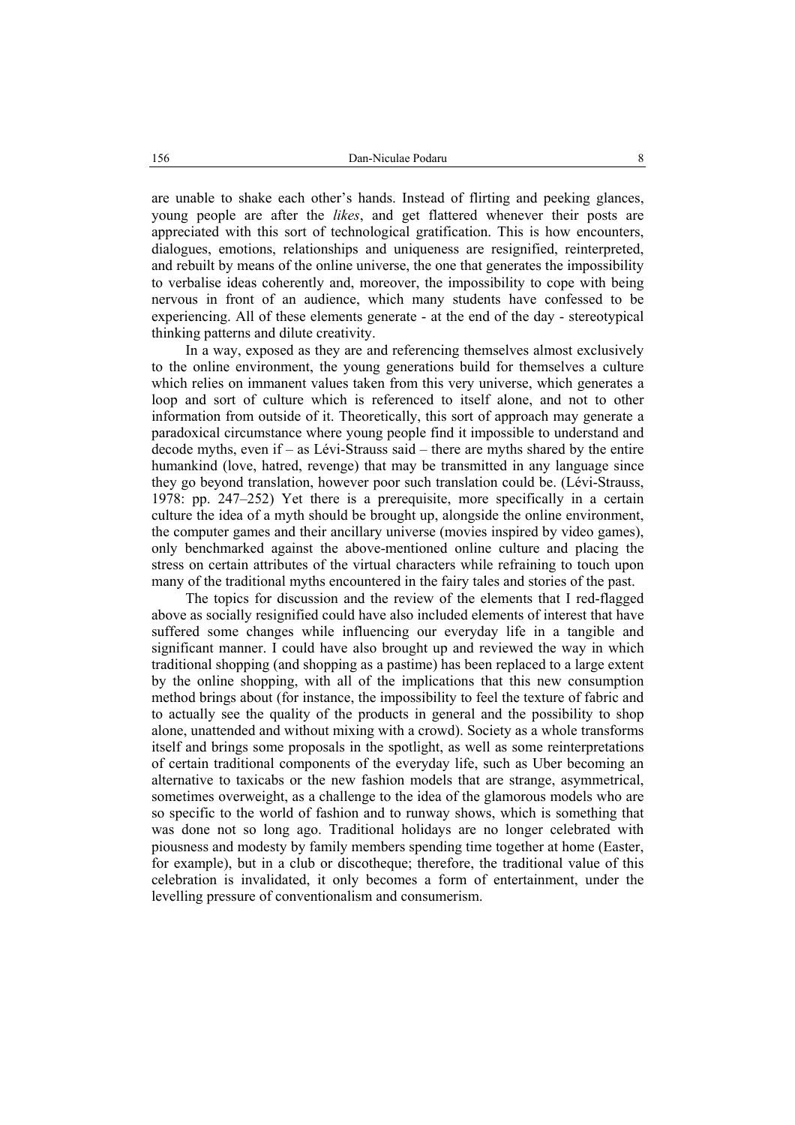are unable to shake each other's hands. Instead of flirting and peeking glances, young people are after the *likes*, and get flattered whenever their posts are appreciated with this sort of technological gratification. This is how encounters, dialogues, emotions, relationships and uniqueness are resignified, reinterpreted, and rebuilt by means of the online universe, the one that generates the impossibility to verbalise ideas coherently and, moreover, the impossibility to cope with being nervous in front of an audience, which many students have confessed to be experiencing. All of these elements generate - at the end of the day - stereotypical thinking patterns and dilute creativity.

In a way, exposed as they are and referencing themselves almost exclusively to the online environment, the young generations build for themselves a culture which relies on immanent values taken from this very universe, which generates a loop and sort of culture which is referenced to itself alone, and not to other information from outside of it. Theoretically, this sort of approach may generate a paradoxical circumstance where young people find it impossible to understand and decode myths, even if – as Lévi-Strauss said – there are myths shared by the entire humankind (love, hatred, revenge) that may be transmitted in any language since they go beyond translation, however poor such translation could be. (Lévi-Strauss, 1978: pp. 247–252) Yet there is a prerequisite, more specifically in a certain culture the idea of a myth should be brought up, alongside the online environment, the computer games and their ancillary universe (movies inspired by video games), only benchmarked against the above-mentioned online culture and placing the stress on certain attributes of the virtual characters while refraining to touch upon many of the traditional myths encountered in the fairy tales and stories of the past.

The topics for discussion and the review of the elements that I red-flagged above as socially resignified could have also included elements of interest that have suffered some changes while influencing our everyday life in a tangible and significant manner. I could have also brought up and reviewed the way in which traditional shopping (and shopping as a pastime) has been replaced to a large extent by the online shopping, with all of the implications that this new consumption method brings about (for instance, the impossibility to feel the texture of fabric and to actually see the quality of the products in general and the possibility to shop alone, unattended and without mixing with a crowd). Society as a whole transforms itself and brings some proposals in the spotlight, as well as some reinterpretations of certain traditional components of the everyday life, such as Uber becoming an alternative to taxicabs or the new fashion models that are strange, asymmetrical, sometimes overweight, as a challenge to the idea of the glamorous models who are so specific to the world of fashion and to runway shows, which is something that was done not so long ago. Traditional holidays are no longer celebrated with piousness and modesty by family members spending time together at home (Easter, for example), but in a club or discotheque; therefore, the traditional value of this celebration is invalidated, it only becomes a form of entertainment, under the levelling pressure of conventionalism and consumerism.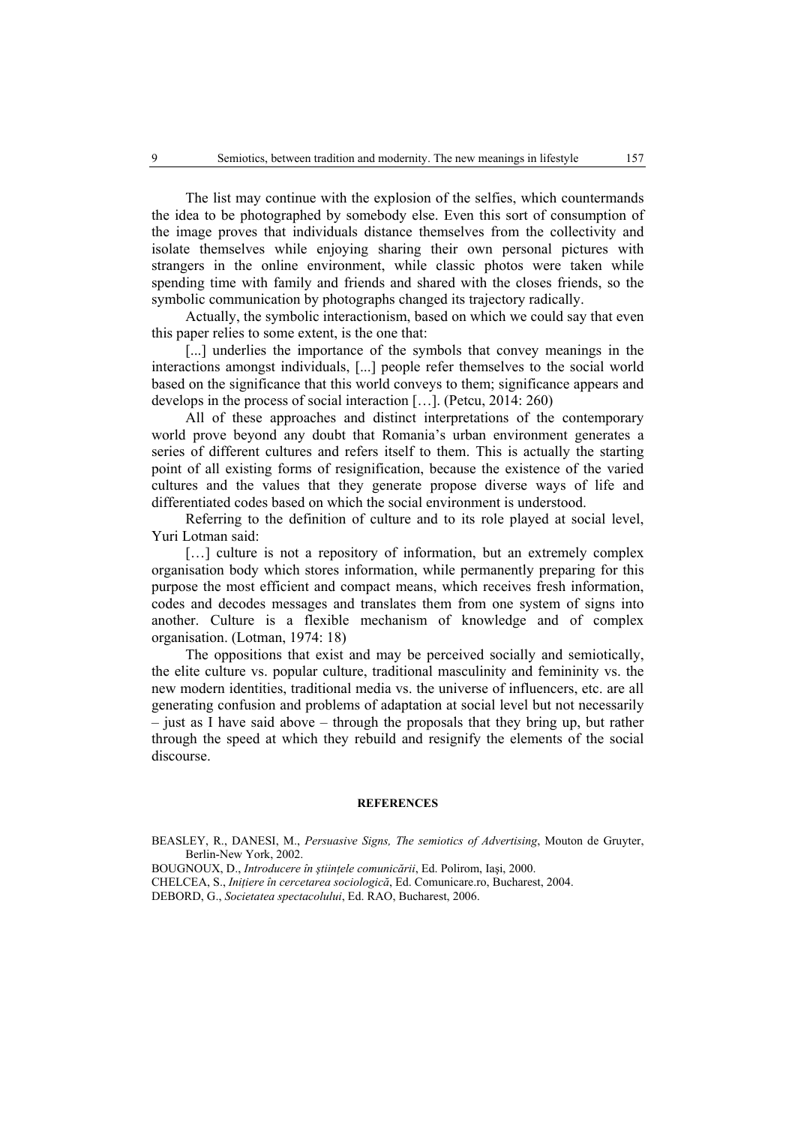The list may continue with the explosion of the selfies, which countermands the idea to be photographed by somebody else. Even this sort of consumption of the image proves that individuals distance themselves from the collectivity and isolate themselves while enjoying sharing their own personal pictures with strangers in the online environment, while classic photos were taken while spending time with family and friends and shared with the closes friends, so the symbolic communication by photographs changed its trajectory radically.

Actually, the symbolic interactionism, based on which we could say that even this paper relies to some extent, is the one that:

[...] underlies the importance of the symbols that convey meanings in the interactions amongst individuals, [...] people refer themselves to the social world based on the significance that this world conveys to them; significance appears and develops in the process of social interaction […]. (Petcu, 2014: 260)

All of these approaches and distinct interpretations of the contemporary world prove beyond any doubt that Romania's urban environment generates a series of different cultures and refers itself to them. This is actually the starting point of all existing forms of resignification, because the existence of the varied cultures and the values that they generate propose diverse ways of life and differentiated codes based on which the social environment is understood.

Referring to the definition of culture and to its role played at social level, Yuri Lotman said:

[...] culture is not a repository of information, but an extremely complex organisation body which stores information, while permanently preparing for this purpose the most efficient and compact means, which receives fresh information, codes and decodes messages and translates them from one system of signs into another. Culture is a flexible mechanism of knowledge and of complex organisation. (Lotman, 1974: 18)

The oppositions that exist and may be perceived socially and semiotically, the elite culture vs. popular culture, traditional masculinity and femininity vs. the new modern identities, traditional media vs. the universe of influencers, etc. are all generating confusion and problems of adaptation at social level but not necessarily – just as I have said above – through the proposals that they bring up, but rather through the speed at which they rebuild and resignify the elements of the social discourse.

#### **REFERENCES**

BEASLEY, R., DANESI, M., *Persuasive Signs, The semiotics of Advertising*, Mouton de Gruyter, Berlin-New York, 2002.

BOUGNOUX, D., *Introducere în ştiinţele comunicării*, Ed. Polirom, Iaşi, 2000.

CHELCEA, S., *Iniţiere în cercetarea sociologică*, Ed. Comunicare.ro, Bucharest, 2004.

DEBORD, G., *Societatea spectacolului*, Ed. RAO, Bucharest, 2006.